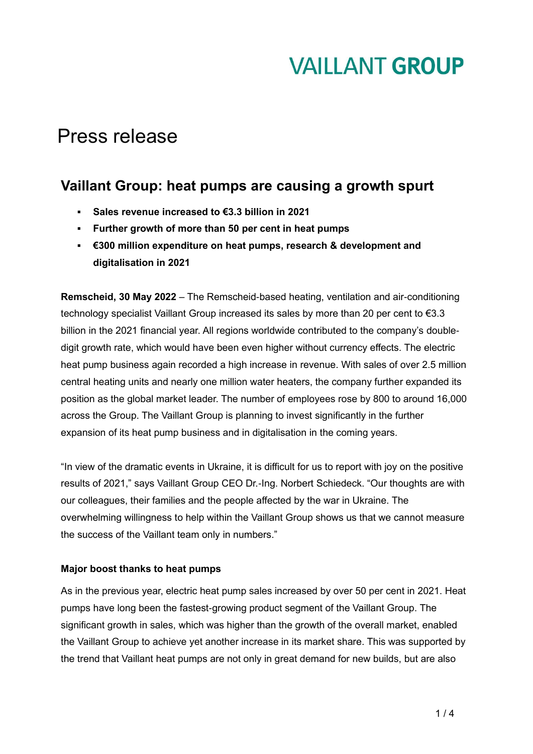## Press release

### **Vaillant Group: heat pumps are causing a growth spurt**

- **Sales revenue increased to €3.3 billion in 2021**
- **Further growth of more than 50 per cent in heat pumps**
- **€300 million expenditure on heat pumps, research & development and digitalisation in 2021**

**Remscheid, 30 May 2022** – The Remscheid-based heating, ventilation and air-conditioning technology specialist Vaillant Group increased its sales by more than 20 per cent to €3.3 billion in the 2021 financial year. All regions worldwide contributed to the company's doubledigit growth rate, which would have been even higher without currency effects. The electric heat pump business again recorded a high increase in revenue. With sales of over 2.5 million central heating units and nearly one million water heaters, the company further expanded its position as the global market leader. The number of employees rose by 800 to around 16,000 across the Group. The Vaillant Group is planning to invest significantly in the further expansion of its heat pump business and in digitalisation in the coming years.

"In view of the dramatic events in Ukraine, it is difficult for us to report with joy on the positive results of 2021," says Vaillant Group CEO Dr.-Ing. Norbert Schiedeck. "Our thoughts are with our colleagues, their families and the people affected by the war in Ukraine. The overwhelming willingness to help within the Vaillant Group shows us that we cannot measure the success of the Vaillant team only in numbers."

### **Major boost thanks to heat pumps**

As in the previous year, electric heat pump sales increased by over 50 per cent in 2021. Heat pumps have long been the fastest-growing product segment of the Vaillant Group. The significant growth in sales, which was higher than the growth of the overall market, enabled the Vaillant Group to achieve yet another increase in its market share. This was supported by the trend that Vaillant heat pumps are not only in great demand for new builds, but are also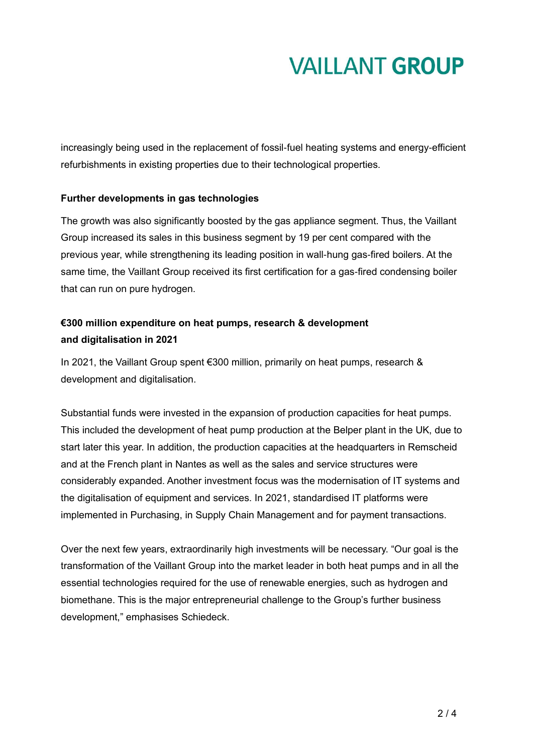increasingly being used in the replacement of fossil-fuel heating systems and energy-efficient refurbishments in existing properties due to their technological properties.

### **Further developments in gas technologies**

The growth was also significantly boosted by the gas appliance segment. Thus, the Vaillant Group increased its sales in this business segment by 19 per cent compared with the previous year, while strengthening its leading position in wall-hung gas-fired boilers. At the same time, the Vaillant Group received its first certification for a gas-fired condensing boiler that can run on pure hydrogen.

### **€300 million expenditure on heat pumps, research & development and digitalisation in 2021**

In 2021, the Vaillant Group spent €300 million, primarily on heat pumps, research & development and digitalisation.

Substantial funds were invested in the expansion of production capacities for heat pumps. This included the development of heat pump production at the Belper plant in the UK, due to start later this year. In addition, the production capacities at the headquarters in Remscheid and at the French plant in Nantes as well as the sales and service structures were considerably expanded. Another investment focus was the modernisation of IT systems and the digitalisation of equipment and services. In 2021, standardised IT platforms were implemented in Purchasing, in Supply Chain Management and for payment transactions.

Over the next few years, extraordinarily high investments will be necessary. "Our goal is the transformation of the Vaillant Group into the market leader in both heat pumps and in all the essential technologies required for the use of renewable energies, such as hydrogen and biomethane. This is the major entrepreneurial challenge to the Group's further business development," emphasises Schiedeck.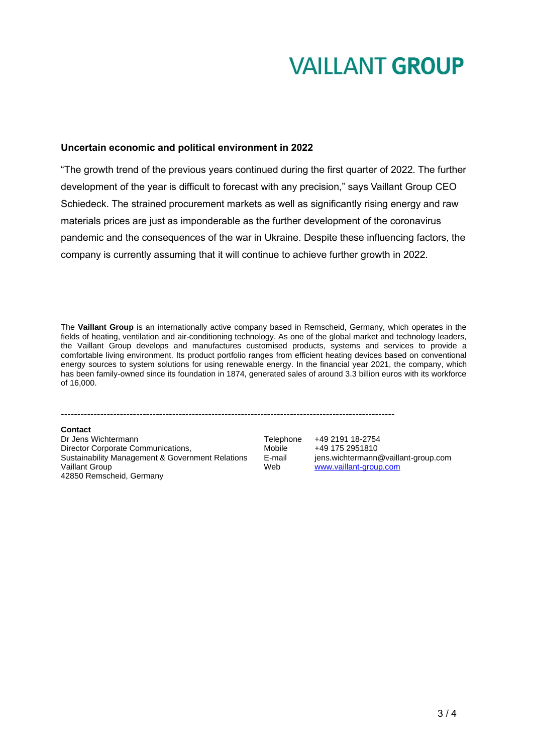#### **Uncertain economic and political environment in 2022**

"The growth trend of the previous years continued during the first quarter of 2022. The further development of the year is difficult to forecast with any precision," says Vaillant Group CEO Schiedeck. The strained procurement markets as well as significantly rising energy and raw materials prices are just as imponderable as the further development of the coronavirus pandemic and the consequences of the war in Ukraine. Despite these influencing factors, the company is currently assuming that it will continue to achieve further growth in 2022.

The **Vaillant Group** is an internationally active company based in Remscheid, Germany, which operates in the fields of heating, ventilation and air-conditioning technology. As one of the global market and technology leaders, the Vaillant Group develops and manufactures customised products, systems and services to provide a comfortable living environment. Its product portfolio ranges from efficient heating devices based on conventional energy sources to system solutions for using renewable energy. In the financial year 2021, the company, which has been family-owned since its foundation in 1874, generated sales of around 3.3 billion euros with its workforce of 16,000.

------------------------------------------------------------------------------------------------------

#### **Contact**

Dr Jens Wichtermann<br>Director Corporate Communications, Telephone +49 2191 18-2754<br>Mobile +49 175 2951810 Director Corporate Communications, <br>
Sustainability Management & Government Relations E-mail iens.wichtermann@vaillant-group.com Sustainability Management & Government Relations. Vaillant Group Web [www.vaillant-group.com](http://www.vaillant-group.com/) 42850 Remscheid, Germany